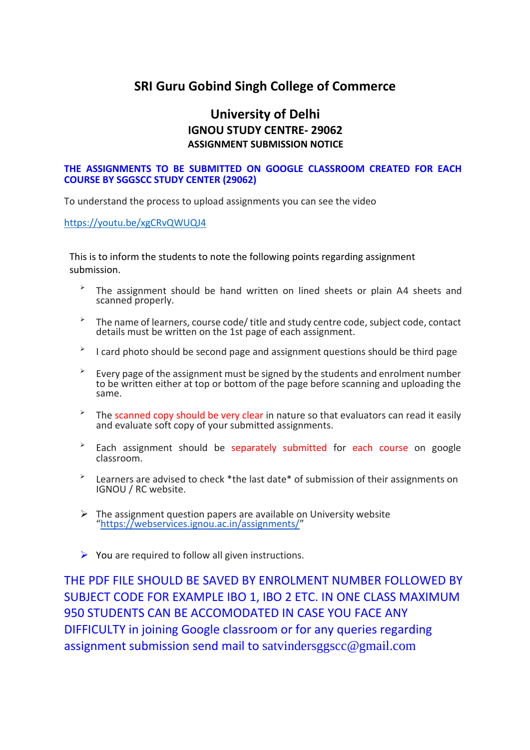## **SRI Guru Gobind Singh College of Commerce**

## **University of Delhi IGNOU STUDY CENTRE- 29062 ASSIGNMENT SUBMISSION NOTICE**

## **THE ASSIGNMENTS TO BE SUBMITTED ON GOOGLE CLASSROOM CREATED FOR EACH COURSE BY SGGSCC STUDY CENTER (29062)**

To understand the process to upload assignments you can see the video

<https://youtu.be/xgCRvQWUQJ4>

This is to inform the students to note the following points regarding assignment submission.

- ➢ The assignment should be hand written on lined sheets or plain A4 sheets and scanned properly.
- ➢ The name of learners, course code/ title and study centre code, subject code, contact details must be written on the 1st page of each assignment.
- ➢ I card photo should be second page and assignment questions should be third page
- ➢ Every page of the assignment must be signed by the students and enrolment number to be written either at top or bottom of the page before scanning and uploading the same.
- ➢ The scanned copy should be very clear in nature so that evaluators can read it easily and evaluate soft copy of your submitted assignments.
- ➢ Each assignment should be separately submitted for each course on google classroom.
- ➢ Learners are advised to check \*the last date\* of submission of their assignments on IGNOU / RC website.
- $\triangleright$  The assignment question papers are available on University website "<https://webservices.ignou.ac.in/assignments/>"
- $\triangleright$  You are required to follow all given instructions.

THE PDF FILE SHOULD BE SAVED BY ENROLMENT NUMBER FOLLOWED BY SUBJECT CODE FOR EXAMPLE IBO 1, IBO 2 ETC. IN ONE CLASS MAXIMUM 950 STUDENTS CAN BE ACCOMODATED IN CASE YOU FACE ANY DIFFICULTY in joining Google classroom or for any queries regarding assignment submission send mail to [satvindersggscc@gmail.com](mailto:satvindersggscc@gmail.com)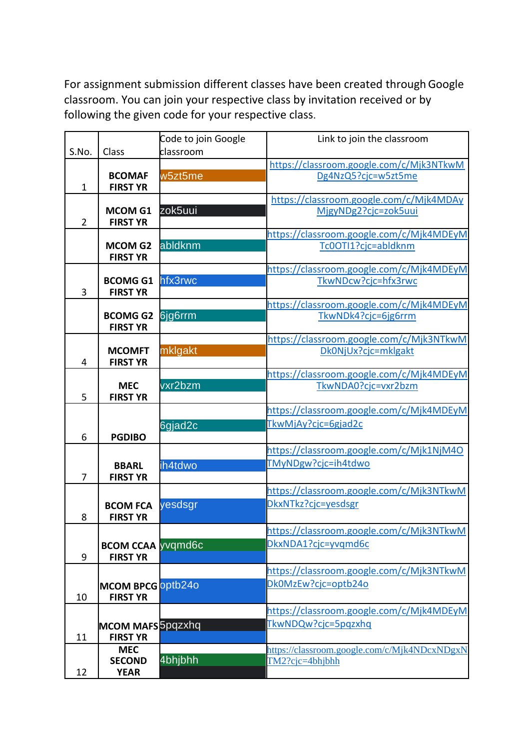For assignment submission different classes have been created through Google classroom. You can join your respective class by invitation received or by following the given code for your respective class.

|                |                                  | Code to join Google | Link to join the classroom                                      |
|----------------|----------------------------------|---------------------|-----------------------------------------------------------------|
| S.No.          | Class                            | classroom           |                                                                 |
|                |                                  |                     | https://classroom.google.com/c/Mjk3NTkwM                        |
| $\mathbf 1$    | <b>BCOMAF</b><br><b>FIRST YR</b> | w5zt5me             | Dg4NzQ5?cjc=w5zt5me                                             |
|                |                                  |                     | https://classroom.google.com/c/Mjk4MDAy                         |
|                | <b>MCOM G1</b>                   | zok5uui             | MjgyNDg2?cjc=zok5uui                                            |
| $\overline{2}$ | <b>FIRST YR</b>                  |                     |                                                                 |
|                |                                  |                     | https://classroom.google.com/c/Mjk4MDEyM                        |
|                | <b>MCOM G2</b>                   | abldknm             | Tc0OTI1?cjc=abldknm                                             |
|                | <b>FIRST YR</b>                  |                     |                                                                 |
|                | <b>BCOMG G1</b>                  | hfx3rwc             | https://classroom.google.com/c/Mjk4MDEyM                        |
| 3              | <b>FIRST YR</b>                  |                     | TkwNDcw?cjc=hfx3rwc                                             |
|                |                                  |                     | https://classroom.google.com/c/Mjk4MDEyM                        |
|                | <b>BCOMG G2</b>                  | 6jg6rrm             | TkwNDk4?cjc=6jg6rrm                                             |
|                | <b>FIRST YR</b>                  |                     |                                                                 |
|                |                                  |                     | https://classroom.google.com/c/Mjk3NTkwM                        |
|                | <b>MCOMFT</b>                    | mklgakt             | Dk0NjUx?cjc=mklgakt                                             |
| 4              | <b>FIRST YR</b>                  |                     |                                                                 |
|                | <b>MEC</b>                       | vxr2bzm             | https://classroom.google.com/c/Mjk4MDEyM<br>TkwNDA0?cjc=vxr2bzm |
| 5              | <b>FIRST YR</b>                  |                     |                                                                 |
|                |                                  |                     | https://classroom.google.com/c/Mjk4MDEyM                        |
|                |                                  | 6gjad2c             | TkwMjAy?cjc=6gjad2c                                             |
| 6              | <b>PGDIBO</b>                    |                     |                                                                 |
|                |                                  |                     | https://classroom.google.com/c/Mjk1NjM4O                        |
|                | <b>BBARL</b>                     | ih4tdwo             | TMyNDgw?cjc=ih4tdwo                                             |
| 7              | <b>FIRST YR</b>                  |                     |                                                                 |
|                |                                  |                     | https://classroom.google.com/c/Mjk3NTkwM                        |
|                | <b>BCOM FCA</b>                  | yesdsgr             | DkxNTkz?cjc=yesdsgr                                             |
| 8              | <b>FIRST YR</b>                  |                     |                                                                 |
|                |                                  |                     | https://classroom.google.com/c/Mjk3NTkwM                        |
|                | <b>BCOM CCAA vvgmd6c</b>         |                     | DkxNDA1?cjc=yvqmd6c                                             |
| 9              | <b>FIRST YR</b>                  |                     |                                                                 |
|                |                                  |                     | https://classroom.google.com/c/Mjk3NTkwM                        |
|                | MCOM BPCG optb24o                |                     | Dk0MzEw?cjc=optb24o                                             |
| 10             | <b>FIRST YR</b>                  |                     |                                                                 |
|                |                                  |                     | https://classroom.google.com/c/Mjk4MDEyM                        |
|                | MCOM MAFS 5pqzxhq                |                     | TkwNDQw?cjc=5pqzxhq                                             |
| 11             | <b>FIRST YR</b>                  |                     |                                                                 |
|                | <b>MEC</b>                       | 4bhjbhh             | nttps://classroom.google.com/c/Mjk4NDcxNDgxN                    |
| 12             | <b>SECOND</b><br><b>YEAR</b>     |                     | $TM2?cic=4bhibhh$                                               |
|                |                                  |                     |                                                                 |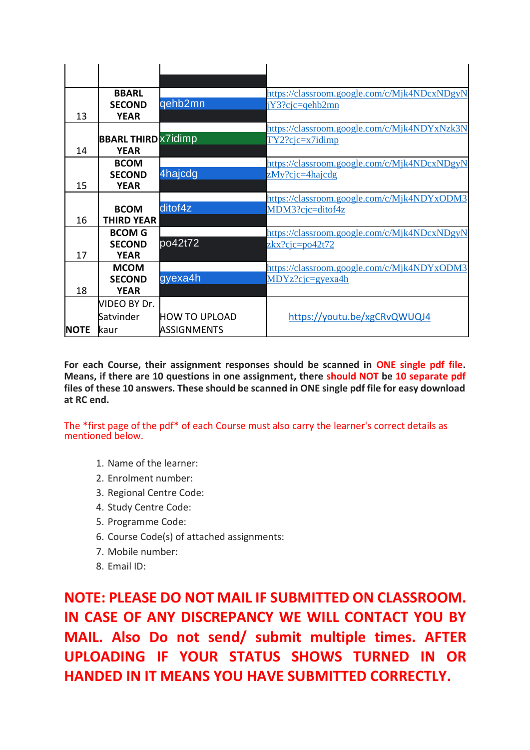|             | <b>BBARL</b>               |                      | https://classroom.google.com/c/Mjk4NDcxNDgyN |
|-------------|----------------------------|----------------------|----------------------------------------------|
|             | <b>SECOND</b>              | qehb2mn              | $Y3?c$ <sub>i</sub> c=qehb2mn                |
| 13          | <b>YEAR</b>                |                      |                                              |
|             |                            |                      | https://classroom.google.com/c/Mjk4NDYxNzk3N |
|             | <b>BBARL THIRD X7idimp</b> |                      | TY2?cjczz7idimp                              |
| 14          | <b>YEAR</b>                |                      |                                              |
|             | <b>BCOM</b>                |                      | https://classroom.google.com/c/Mjk4NDcxNDgyN |
|             | <b>SECOND</b>              | 4hajcdg              | zMy?cjc=4hajcdg                              |
| 15          | <b>YEAR</b>                |                      |                                              |
|             |                            |                      | https://classroom.google.com/c/Mjk4NDYxODM3  |
|             | <b>BCOM</b>                | ditof4z              | MDM3?cjc=ditof4z                             |
| 16          | <b>THIRD YEAR</b>          |                      |                                              |
|             | <b>BCOM G</b>              |                      | https://classroom.google.com/c/Mjk4NDcxNDgyN |
|             | <b>SECOND</b>              | po42t72              | $z k x? c i c = p o 42 t 72$                 |
| 17          | <b>YEAR</b>                |                      |                                              |
|             | <b>MCOM</b>                |                      | https://classroom.google.com/c/Mjk4NDYxODM3  |
|             | <b>SECOND</b>              | gyexa4h              | MDYz?cjc=gyexa4h                             |
| 18          | <b>YEAR</b>                |                      |                                              |
|             | VIDEO BY Dr.               |                      |                                              |
|             | Satvinder                  | <b>HOW TO UPLOAD</b> | https://youtu.be/xgCRvQWUQJ4                 |
| <b>NOTE</b> | kaur                       | <b>ASSIGNMENTS</b>   |                                              |

**For each Course, their assignment responses should be scanned in ONE single pdf file. Means, if there are 10 questions in one assignment, there should NOT be 10 separate pdf files of these 10 answers. These should be scanned in ONE single pdf file for easy download at RC end.**

The \*first page of the pdf\* of each Course must also carry the learner's correct details as mentioned below.

- 1. Name of the learner:
- 2. Enrolment number:
- 3. Regional Centre Code:
- 4. Study Centre Code:
- 5. Programme Code:
- 6. Course Code(s) of attached assignments:
- 7. Mobile number:
- 8. Email ID:

**NOTE: PLEASE DO NOT MAIL IF SUBMITTED ON CLASSROOM. IN CASE OF ANY DISCREPANCY WE WILL CONTACT YOU BY MAIL. Also Do not send/ submit multiple times. AFTER UPLOADING IF YOUR STATUS SHOWS TURNED IN OR HANDED IN IT MEANS YOU HAVE SUBMITTED CORRECTLY.**